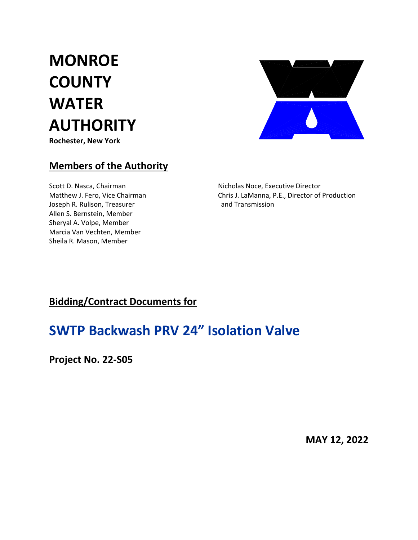**MONROE COUNTY WATER AUTHORITY Rochester, New York**



### **Members of the Authority**

Joseph R. Rulison, Treasurer **1988** and Transmission Allen S. Bernstein, Member Sheryal A. Volpe, Member Marcia Van Vechten, Member Sheila R. Mason, Member

Scott D. Nasca, Chairman Nicholas Noce, Executive Director Matthew J. Fero, Vice Chairman Chris J. LaManna, P.E., Director of Production

## **Bidding/Contract Documents for**

# **SWTP Backwash PRV 24" Isolation Valve**

**Project No. 22‐S05**

**MAY 12, 2022**